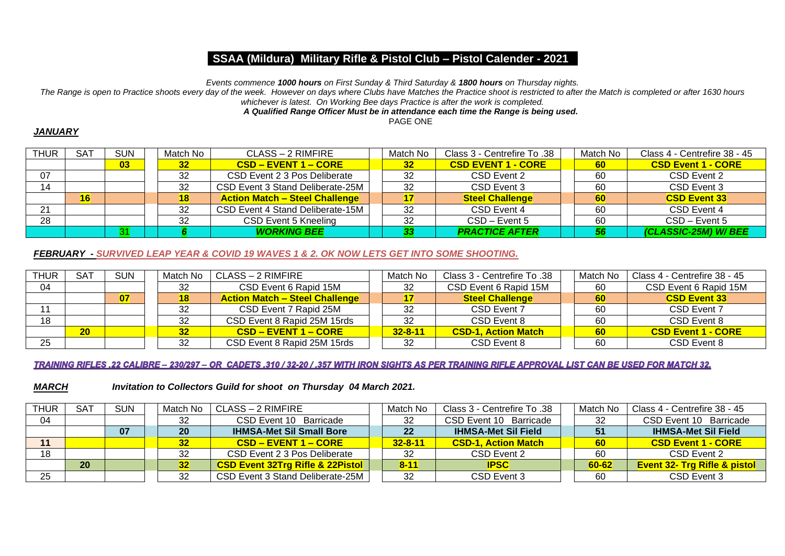*Events commence 1000 hours on First Sunday & Third Saturday & 1800 hours on Thursday nights.*

*The Range is open to Practice shoots every day of the week. However on days where Clubs have Matches the Practice shoot is restricted to after the Match is completed or after 1630 hours* 

# *whichever is latest. On Working Bee days Practice is after the work is completed.*

## *A Qualified Range Officer Must be in attendance each time the Range is being used.*

PAGE ONE

#### *JANUARY*

| <b>THUR</b> | SAT | <b>SUN</b> | Match No        | CLASS – 2 RIMFIRE                     | Match No | Class 3 - Centrefire To .38 | Match No  | Class 4 - Centrefire 38 - 45 |
|-------------|-----|------------|-----------------|---------------------------------------|----------|-----------------------------|-----------|------------------------------|
|             |     | 03         | 32 <sub>2</sub> | $\overline{CSD - EVENT 1 - CORE}$     | 32       | <b>CSD EVENT 1 - CORE</b>   | <b>60</b> | <b>CSD Event 1 - CORE</b>    |
| 07          |     |            | 32              | CSD Event 2 3 Pos Deliberate          | 32       | CSD Event 2                 | 60        | CSD Event 2                  |
| 14          |     |            | 32              | CSD Event 3 Stand Deliberate-25M      | 32       | CSD Event 3                 | 60        | CSD Event 3                  |
|             | 16  |            | 18              | <b>Action Match - Steel Challenge</b> |          | <b>Steel Challenge</b>      | 60        | <b>CSD Event 33</b>          |
| 21          |     |            | 32              | CSD Event 4 Stand Deliberate-15M      | 32       | CSD Event 4                 | 60        | CSD Event 4                  |
| 28          |     |            | 32              | CSD Event 5 Kneeling                  | 32       | CSD - Event 5               | 60        | CSD - Event 5                |
|             |     |            |                 | <b>WORKING BEE</b>                    |          | <b>PRACTICE AFTER</b>       | 56        | (CLASSIC-25M) W/BEE          |

#### *FEBRUARY - SURVIVED LEAP YEAR & COVID 19 WAVES 1 & 2. OK NOW LETS GET INTO SOME SHOOTING.*

| <b>THUR</b> | SAT | <b>SUN</b> | Match No        | CLASS – 2 RIMFIRE                     | Match No      | 38. Class 3 - Centrefire To | Match No | Class 4 - Centrefire 38 - 45 |
|-------------|-----|------------|-----------------|---------------------------------------|---------------|-----------------------------|----------|------------------------------|
| 04          |     |            | 32              | CSD Event 6 Rapid 15M                 | 32            | CSD Event 6 Rapid 15M       | 60       | CSD Event 6 Rapid 15M        |
|             |     | 07         | 18              | <b>Action Match - Steel Challenge</b> |               | <b>Steel Challenge</b>      | 60       | <b>CSD Event 33</b>          |
|             |     |            | 32              | CSD Event 7 Rapid 25M                 | 32            | CSD Event 7                 | 60       | CSD Event 7                  |
| 18          |     |            | 32              | CSD Event 8 Rapid 25M 15rds           | 32            | CSD Event 8                 | 60       | CSD Event 8                  |
|             | 20  |            | 32 <sub>2</sub> | $\overline{CSD}$ – EVENT 1 – CORE     | $32 - 8 - 11$ | <b>CSD-1, Action Match</b>  | 60       | <b>CSD Event 1 - CORE</b>    |
| 25          |     |            | 32              | CSD Event 8 Rapid 25M 15rds           | 32            | CSD Event 8                 | 60       | CSD Event 8                  |

#### TRAINING RIFLES .22 CALIBRE - 230/297 - OR CADETS .310 / 32-20 / .357 WITH IRON SIGHTS AS PER TRAINING RIFLE APPROVAL LIST CAN BE USED FOR MATCH 32.

*MARCH Invitation to Collectors Guild for shoot on Thursday 04 March 2021.* 

| <b>THUR</b> | <b>SAT</b> | <b>SUN</b> | Match No        | CLASS – 2 RIMFIRE                           | Match No      | 38. Class 3 - Centrefire To | Match No  | Class 4 - Centrefire 38 - 45            |
|-------------|------------|------------|-----------------|---------------------------------------------|---------------|-----------------------------|-----------|-----------------------------------------|
| 04          |            |            | 32              | CSD Event 10 Barricade                      | 32            | CSD Event 10 Barricade      | 32        | CSD Event 10<br>Barricade               |
|             |            | 07         | <b>20</b>       | <b>IHMSA-Met Sil Small Bore</b>             | 22            | <b>IHMSA-Met Sil Field</b>  | 51        | <b>IHMSA-Met Sil Field</b>              |
| 11          |            |            | 32 <sub>2</sub> | $\overline{CSD - EVENT 1 - CORE}$           | $32 - 8 - 11$ | <b>CSD-1. Action Match</b>  | 60        | <b>CSD Event 1 - CORE</b>               |
| 18          |            |            |                 | CSD Event 2 3 Pos Deliberate                | -32           | CSD Event 2                 | 60        | CSD Event 2                             |
|             | 20         |            | 32              | <b>CSD Event 32Trg Rifle &amp; 22Pistol</b> | $8 - 11$      | <b>IPSC</b>                 | $60 - 62$ | <b>Event 32- Trg Rifle &amp; pistol</b> |
| 25          |            |            | 32              | CSD Event 3 Stand Deliberate-25M            | -32           | CSD Event 3                 | 60        | CSD Event 3                             |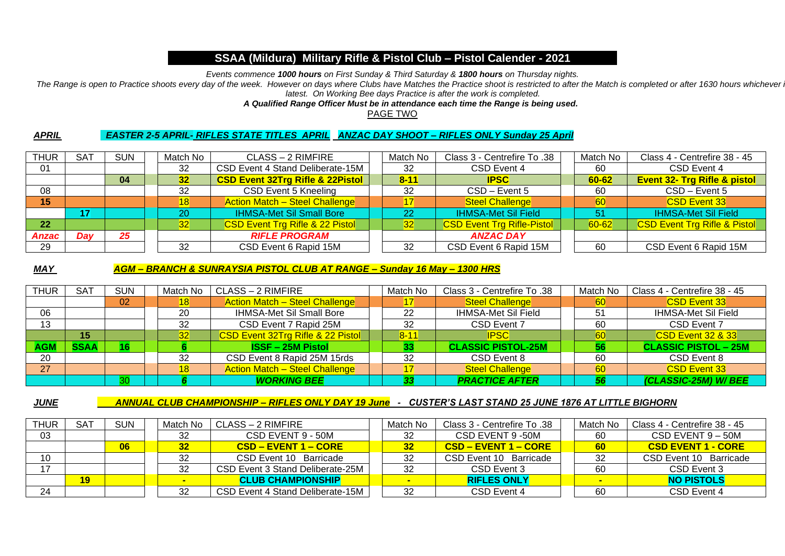*Events commence 1000 hours on First Sunday & Third Saturday & 1800 hours on Thursday nights.*

The Range is open to Practice shoots every day of the week. However on days where Clubs have Matches the Practice shoot is restricted to after the Match is completed or after 1630 hours whichever *latest. On Working Bee days Practice is after the work is completed.*

*A Qualified Range Officer Must be in attendance each time the Range is being used.*

PAGE TWO

#### *APRIL EASTER 2-5 APRIL- RIFLES STATE TITLES APRIL ANZAC DAY SHOOT – RIFLES ONLY Sunday 25 April*

| <b>THUR</b> | <b>SAT</b> | <b>SUN</b> | Match No        | CLASS - 2 RIMFIRE                           | Match No | Class 3 - Centrefire To .38       | Match No  | Class 4 - Centrefire 38 - 45            |
|-------------|------------|------------|-----------------|---------------------------------------------|----------|-----------------------------------|-----------|-----------------------------------------|
| 01          |            |            | 32              | CSD Event 4 Stand Deliberate-15M            | 32       | CSD Event 4                       | 60        | CSD Event 4                             |
|             |            | 04         | 32 <sub>2</sub> | <b>CSD Event 32Trg Rifle &amp; 22Pistol</b> | $8 - 11$ | <b>IPSC</b>                       | $60 - 62$ | <b>Event 32- Trg Rifle &amp; pistol</b> |
| 08          |            |            | 32              | CSD Event 5 Kneeling                        | 32       | CSD - Event 5                     | 60        | CSD - Event 5                           |
| 15          |            |            | 18              | <b>Action Match - Steel Challenge</b>       | 17       | <b>Steel Challenge</b>            | 60        | <b>CSD Event 33</b>                     |
|             | 17         |            | 20              | <b>IHMSA-Met Sil Small Bore</b>             | 22       | <b>IHMSA-Met Sil Field</b>        | 51        | <b>IHMSA-Met Sil Field</b>              |
| 22          |            |            | 32 <sub>2</sub> | <b>CSD Event Trg Rifle &amp; 22 Pistol</b>  | 32       | <b>CSD Event Trg Rifle-Pistol</b> | $60 - 62$ | <b>CSD Event Trg Rifle &amp; Pistol</b> |
| Anzac       | Day        | 25         |                 | <b>RIFLE PROGRAM</b>                        |          | <b>ANZAC DAY</b>                  |           |                                         |
| 29          |            |            | 32              | CSD Event 6 Rapid 15M                       | 32       | CSD Event 6 Rapid 15M             | 60        | CSD Event 6 Rapid 15M                   |

#### *MAY AGM – BRANCH & SUNRAYSIA PISTOL CLUB AT RANGE – Sunday 16 May – 1300 HRS*

| <b>THUR</b> | <b>SAT</b>  | <b>SUN</b> | Match No     | CLASS - 2 RIMFIRE                     | Match No | Class 3 - Centrefire To .38 | Match No | Class 4 - Centrefire 38 - 45 |
|-------------|-------------|------------|--------------|---------------------------------------|----------|-----------------------------|----------|------------------------------|
|             |             | 02         | 18           | <b>Action Match - Steel Challenge</b> |          | <b>Steel Challenge</b>      | 60       | <b>CSD Event 33</b>          |
| 06          |             |            | 20           | <b>IHMSA-Met Sil Small Bore</b>       | 22       | <b>IHMSA-Met Sil Field</b>  | 51       | IHMSA-Met Sil Field          |
| 13          |             |            | 32           | CSD Event 7 Rapid 25M                 | 32       | CSD Event 7                 | 60       | CSD Event 7                  |
|             | 15          |            | $32^{\circ}$ | CSD Event 32Trg Rifle & 22 Pistol     | $8 - 11$ | <b>IPSC</b>                 | 60       | <b>CSD Event 32 &amp; 33</b> |
| <b>AGM</b>  | <b>SSAA</b> |            |              | <b>ISSF-25M Pistol</b>                | 33       | <b>CLASSIC PISTOL-25M</b>   | 56       | <b>CLASSIC PISTOL - 25M</b>  |
| -20         |             |            | 32           | CSD Event 8 Rapid 25M 15rds           | 32       | CSD Event 8                 | 60       | CSD Event 8                  |
| <b>27</b>   |             |            | 18           | <b>Action Match - Steel Challenge</b> |          | <b>Steel Challenge</b>      | 60       | <b>CSD Event 33</b>          |
|             |             | 30         |              | <b>WORKING BEE</b>                    | 33       | <b>PRACTICE AFTER</b>       | 56       | (CLASSIC-25M) W/BEE          |

### *JUNE ANNUAL CLUB CHAMPIONSHIP – RIFLES ONLY DAY 19 June - CUSTER'S LAST STAND 25 JUNE 1876 AT LITTLE BIGHORN*

| <b>THUR</b> | <b>SAT</b> | <b>SUN</b> | Match No        | CLASS – 2 RIMFIRE                 | Match No | 38. Class 3 - Centrefire To | Match No | Class 4 - Centrefire 38 - 45 |
|-------------|------------|------------|-----------------|-----------------------------------|----------|-----------------------------|----------|------------------------------|
| 03          |            |            | 32              | CSD EVENT 9 - 50M                 | -32      | CSD EVENT 9 -50M            | 60       | $CSD$ EVENT $9-50M$          |
|             |            | 06         | 32 <sub>2</sub> | $\overline{CSD - EVENT 1 - CORE}$ | 32       | <b>CSD – EVENT 1 – CORE</b> | 60       | <b>CSD EVENT 1 - CORE</b>    |
| 10          |            |            | 32              | CSD Event 10 Barricade            | 32       | CSD Event 10<br>Barricade   | 32       | CSD Event 10 Barricade       |
|             |            |            | 32              | CSD Event 3 Stand Deliberate-25M  | 32       | CSD Event 3                 | 60       | CSD Event 3                  |
|             | 19         |            |                 | <b>CLUB CHAMPIONSHIP</b>          |          | <b>RIFLES ONLY</b>          |          | <b>NO PISTOLS</b>            |
| 24          |            |            | 32              | CSD Event 4 Stand Deliberate-15M  | 32       | CSD Event 4                 | 60       | CSD Event 4                  |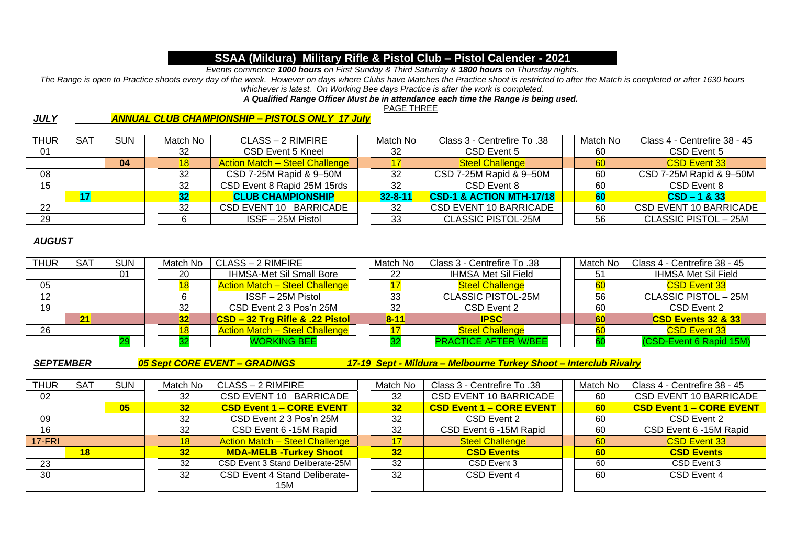*Events commence 1000 hours on First Sunday & Third Saturday & 1800 hours on Thursday nights.*

*The Range is open to Practice shoots every day of the week. However on days where Clubs have Matches the Practice shoot is restricted to after the Match is completed or after 1630 hours whichever is latest. On Working Bee days Practice is after the work is completed.*

#### *A Qualified Range Officer Must be in attendance each time the Range is being used.*

PAGE THREE

## *JULY ANNUAL CLUB CHAMPIONSHIP – PISTOLS ONLY 17 July*

| <b>THUR</b> | <b>SAT</b> | <b>SUN</b> | Match No | CLASS – 2 RIMFIRE                     | Match No      | Class 3 - Centrefire To .38   | Match No | Class 4 - Centrefire 38 - 45  |
|-------------|------------|------------|----------|---------------------------------------|---------------|-------------------------------|----------|-------------------------------|
| 01          |            |            | 32       | CSD Event 5 Kneel                     | -32           | CSD Event 5                   | 60       | CSD Event 5                   |
|             |            | 04         | 18       | <b>Action Match - Steel Challenge</b> |               | <b>Steel Challenge</b>        | 60       | <b>CSD Event 33</b>           |
| 08          |            |            | 32       | CSD 7-25M Rapid & 9-50M               | 32            | CSD 7-25M Rapid & 9-50M       | 60       | CSD 7-25M Rapid & 9-50M       |
| 15          |            |            | 32       | CSD Event 8 Rapid 25M 15rds           | -32           | CSD Event 8                   | 60       | CSD Event 8                   |
|             |            |            |          | <b>CLUB CHAMPIONSHIP</b>              | $32 - 8 - 11$ | CSD-1 & ACTION MTH-17/18      | 60       | $CSD - 1 & 33$                |
| 22          |            |            | 32       | CSD EVENT 10 BARRICADE                | 32            | <b>CSD EVENT 10 BARRICADE</b> | 60       | <b>CSD EVENT 10 BARRICADE</b> |
| 29          |            |            |          | ISSF - 25M Pistol                     | 33            | <b>CLASSIC PISTOL-25M</b>     | 56       | CLASSIC PISTOL - 25M          |

### *AUGUST*

| <b>THUR</b> | <b>SAT</b> | <b>SUN</b> | Match No | CLASS - 2 RIMFIRE                     | Match No | Class 3 - Centrefire To .38 | Match No | Class 4 - Centrefire 38 - 45   |
|-------------|------------|------------|----------|---------------------------------------|----------|-----------------------------|----------|--------------------------------|
|             |            | 01         | 20       | <b>IHMSA-Met Sil Small Bore</b>       | 22       | IHMSA Met Sil Field         |          | <b>IHMSA Met Sil Field</b>     |
| 05          |            |            |          | <b>Action Match - Steel Challenge</b> |          | <b>Steel Challenge</b>      | 60       | <b>CSD Event 33</b>            |
| 12          |            |            |          | ISSF - 25M Pistol                     | 33       | <b>CLASSIC PISTOL-25M</b>   | 56       | CLASSIC PISTOL - 25M           |
| 19          |            |            | 32       | CSD Event 2 3 Pos'n 25M               | 32       | CSD Event 2                 | 60       | CSD Event 2                    |
|             | 21         |            | 32       | CSD - 32 Trg Rifle & .22 Pistol       | $8 - 11$ | <b>IPSC</b>                 | 60       | <b>CSD Events 32 &amp; 33/</b> |
| 26          |            |            |          | <b>Action Match - Steel Challenge</b> |          | <b>Steel Challenge</b>      | 60       | <b>CSD Event 33</b>            |
|             |            |            |          | <b>WORKING BEE</b>                    |          | <b>PRACTICE AFTER W/BEE</b> |          | (CSD-Event 6 Rapid 15M)        |

*SEPTEMBER 05 Sept CORE EVENT – GRADINGS 17-19 Sept - Mildura – Melbourne Turkey Shoot – Interclub Rivalry*

| <b>THUR</b> | <b>SAT</b> | <b>SUN</b> | Match No | CLASS – 2 RIMFIRE                     | Match No        | Class 3 - Centrefire To .38     | Match No | Class 4 - Centrefire 38 - 45    |
|-------------|------------|------------|----------|---------------------------------------|-----------------|---------------------------------|----------|---------------------------------|
| 02          |            |            | 32       | CSD EVENT 10 BARRICADE                | 32              | <b>CSD EVENT 10 BARRICADE</b>   | 60       | <b>CSD EVENT 10 BARRICADE</b>   |
|             |            | 05         | 32       | <b>CSD Event 1 - CORE EVENT</b>       | 32              | <b>CSD Event 1 - CORE EVENT</b> | 60       | <b>CSD Event 1 - CORE EVENT</b> |
| 09          |            |            | 32       | CSD Event 2 3 Pos'n 25M               | 32              | CSD Event 2                     | 60       | CSD Event 2                     |
| 16          |            |            | 32       | CSD Event 6 -15M Rapid                | 32              | CSD Event 6 -15M Rapid          | 60       | CSD Event 6 -15M Rapid          |
| $17-FRI$    |            |            | 18       | <b>Action Match - Steel Challenge</b> | 17 <sup>2</sup> | <b>Steel Challenge</b>          | 60       | <b>CSD Event 33</b>             |
|             | 18         |            | 32       | <b>MDA-MELB -Turkey Shoot</b>         | 32              | <b>CSD Events</b>               | 60       | <b>CSD Events</b>               |
| 23          |            |            | 32       | CSD Event 3 Stand Deliberate-25M      | 32              | CSD Event 3                     | 60       | CSD Event 3                     |
| 30          |            |            | 32       | CSD Event 4 Stand Deliberate-         | 32              | CSD Event 4                     | 60       | CSD Event 4                     |
|             |            |            |          | 15M                                   |                 |                                 |          |                                 |